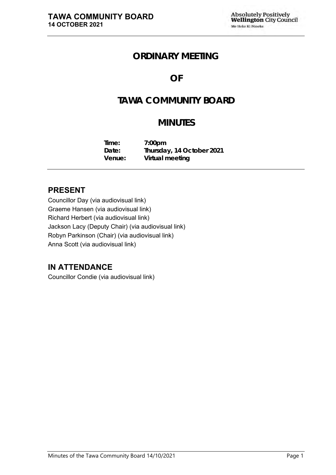# **ORDINARY MEETING**

# **OF**

# **TAWA COMMUNITY BOARD**

# **MINUTES**

**Time: 7:00pm Date: Thursday, 14 October 2021 Venue: Virtual meeting**

## **PRESENT**

Councillor Day (via audiovisual link) Graeme Hansen (via audiovisual link) Richard Herbert (via audiovisual link) Jackson Lacy (Deputy Chair) (via audiovisual link) Robyn Parkinson (Chair) (via audiovisual link) Anna Scott (via audiovisual link)

## **IN ATTENDANCE**

Councillor Condie (via audiovisual link)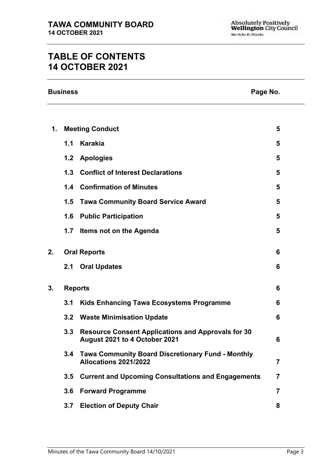# **TABLE OF CONTENTS 14 OCTOBER 2021**

| <b>Business</b> | Page No. |
|-----------------|----------|
|-----------------|----------|

| Page No. |  |
|----------|--|
|          |  |

| 1. |                | <b>Meeting Conduct</b>                                                                     | 5              |
|----|----------------|--------------------------------------------------------------------------------------------|----------------|
|    | 1.1            | <b>Karakia</b>                                                                             | 5              |
|    | 1.2            | <b>Apologies</b>                                                                           | 5              |
|    | 1.3            | <b>Conflict of Interest Declarations</b>                                                   | 5              |
|    |                | <b>1.4 Confirmation of Minutes</b>                                                         | 5              |
|    | 1.5            | <b>Tawa Community Board Service Award</b>                                                  | 5              |
|    | 1.6            | <b>Public Participation</b>                                                                | 5              |
|    | 1.7            | Items not on the Agenda                                                                    | 5              |
| 2. |                | <b>Oral Reports</b>                                                                        | 6              |
|    |                | 2.1 Oral Updates                                                                           | 6              |
| 3. | <b>Reports</b> |                                                                                            | 6              |
|    | 3.1            | <b>Kids Enhancing Tawa Ecosystems Programme</b>                                            | 6              |
|    |                | 3.2 Waste Minimisation Update                                                              | 6              |
|    | 3.3            | <b>Resource Consent Applications and Approvals for 30</b><br>August 2021 to 4 October 2021 | 6              |
|    | 3.4            | <b>Tawa Community Board Discretionary Fund - Monthly</b><br>Allocations 2021/2022          | $\overline{7}$ |
|    | 3.5            | <b>Current and Upcoming Consultations and Engagements</b>                                  | $\overline{7}$ |
|    | 3.6            | <b>Forward Programme</b>                                                                   | $\overline{7}$ |
|    | 3.7            | <b>Election of Deputy Chair</b>                                                            | 8              |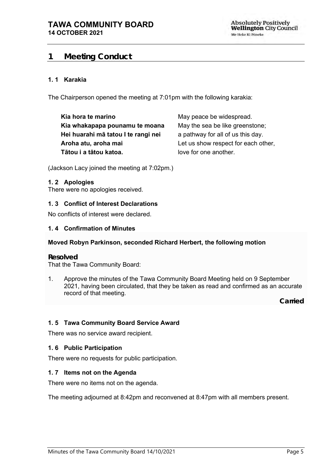## <span id="page-4-0"></span>**1 Meeting Conduct**

#### **1. 1 Karakia**

The Chairperson opened the meeting at 7:01pm with the following karakia:

**Kia hora te marino Kia whakapapa pounamu te moana Hei huarahi mā tatou I te rangi nei Aroha atu, aroha mai Tātou i a tātou katoa.**

May peace be widespread. May the sea be like greenstone; a pathway for all of us this day. Let us show respect for each other, love for one another.

(Jackson Lacy joined the meeting at 7:02pm.)

#### <span id="page-4-1"></span>**1. 2 Apologies**

There were no apologies received.

#### <span id="page-4-2"></span>**1. 3 Conflict of Interest Declarations**

No conflicts of interest were declared.

#### <span id="page-4-3"></span>**1. 4 Confirmation of Minutes**

#### **Moved Robyn Parkinson, seconded Richard Herbert, the following motion**

#### **Resolved**

That the Tawa Community Board:

1. Approve the minutes of the Tawa Community Board Meeting held on 9 September 2021, having been circulated, that they be taken as read and confirmed as an accurate record of that meeting.

**Carried**

#### <span id="page-4-4"></span>**1. 5 Tawa Community Board Service Award**

There was no service award recipient.

#### <span id="page-4-5"></span>**1. 6 Public Participation**

There were no requests for public participation.

#### <span id="page-4-6"></span>**1. 7 Items not on the Agenda**

There were no items not on the agenda.

The meeting adjourned at 8:42pm and reconvened at 8:47pm with all members present.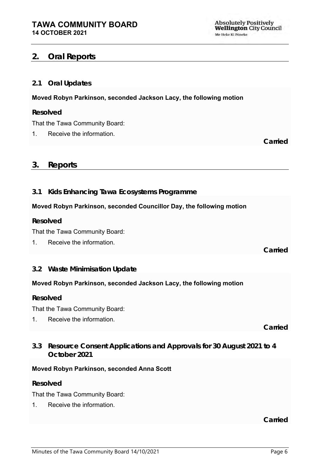## <span id="page-5-0"></span>**2. Oral Reports**

## <span id="page-5-1"></span>**2.1 Oral Updates**

**Moved Robyn Parkinson, seconded Jackson Lacy, the following motion**

**Resolved**

That the Tawa Community Board:

1. Receive the information.

**Carried**

## <span id="page-5-2"></span>**3. Reports**

## <span id="page-5-3"></span>**3.1 Kids Enhancing Tawa Ecosystems Programme**

### **Moved Robyn Parkinson, seconded Councillor Day, the following motion**

**Resolved**

That the Tawa Community Board:

1. Receive the information.

**Carried**

### <span id="page-5-4"></span>**3.2 Waste Minimisation Update**

### **Moved Robyn Parkinson, seconded Jackson Lacy, the following motion**

**Resolved**

That the Tawa Community Board:

1. Receive the information.

**Carried**

<span id="page-5-5"></span>**3.3 Resource Consent Applications and Approvals for 30 August 2021 to 4 October 2021**

### **Moved Robyn Parkinson, seconded Anna Scott**

**Resolved**

That the Tawa Community Board:

1. Receive the information.

**Carried**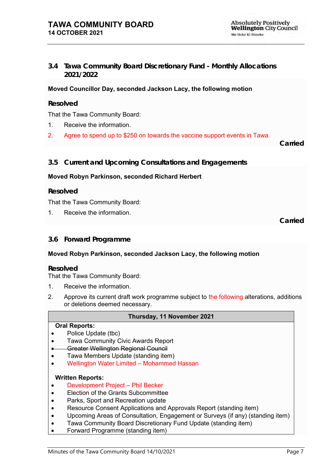### <span id="page-6-0"></span>**3.4 Tawa Community Board Discretionary Fund - Monthly Allocations 2021/2022**

#### **Moved Councillor Day, seconded Jackson Lacy, the following motion**

#### **Resolved**

That the Tawa Community Board:

- 1. Receive the information.
- 2. Agree to spend up to \$250 on towards the vaccine support events in Tawa.

**Carried**

#### <span id="page-6-1"></span>**3.5 Current and Upcoming Consultations and Engagements**

#### **Moved Robyn Parkinson, seconded Richard Herbert**

**Resolved**

#### That the Tawa Community Board:

1. Receive the information.

**Carried**

#### <span id="page-6-2"></span>**3.6 Forward Programme**

#### **Moved Robyn Parkinson, seconded Jackson Lacy, the following motion**

**Resolved**

That the Tawa Community Board:

- 1. Receive the information.
- 2. Approve its current draft work programme subject to the following alterations, additions or deletions deemed necessary.

#### **Thursday, 11 November 2021**

#### **Oral Reports:**

- Police Update (tbc)
- Tawa Community Civic Awards Report
- Greater Wellington Regional Council
- Tawa Members Update (standing item)
- Wellington Water Limited Mohammed Hassan

#### **Written Reports:**

- Development Project Phil Becker
- Election of the Grants Subcommittee
- Parks, Sport and Recreation update
- Resource Consent Applications and Approvals Report (standing item)
- Upcoming Areas of Consultation, Engagement or Surveys (if any) (standing item)
- Tawa Community Board Discretionary Fund Update (standing item)
- Forward Programme (standing item)